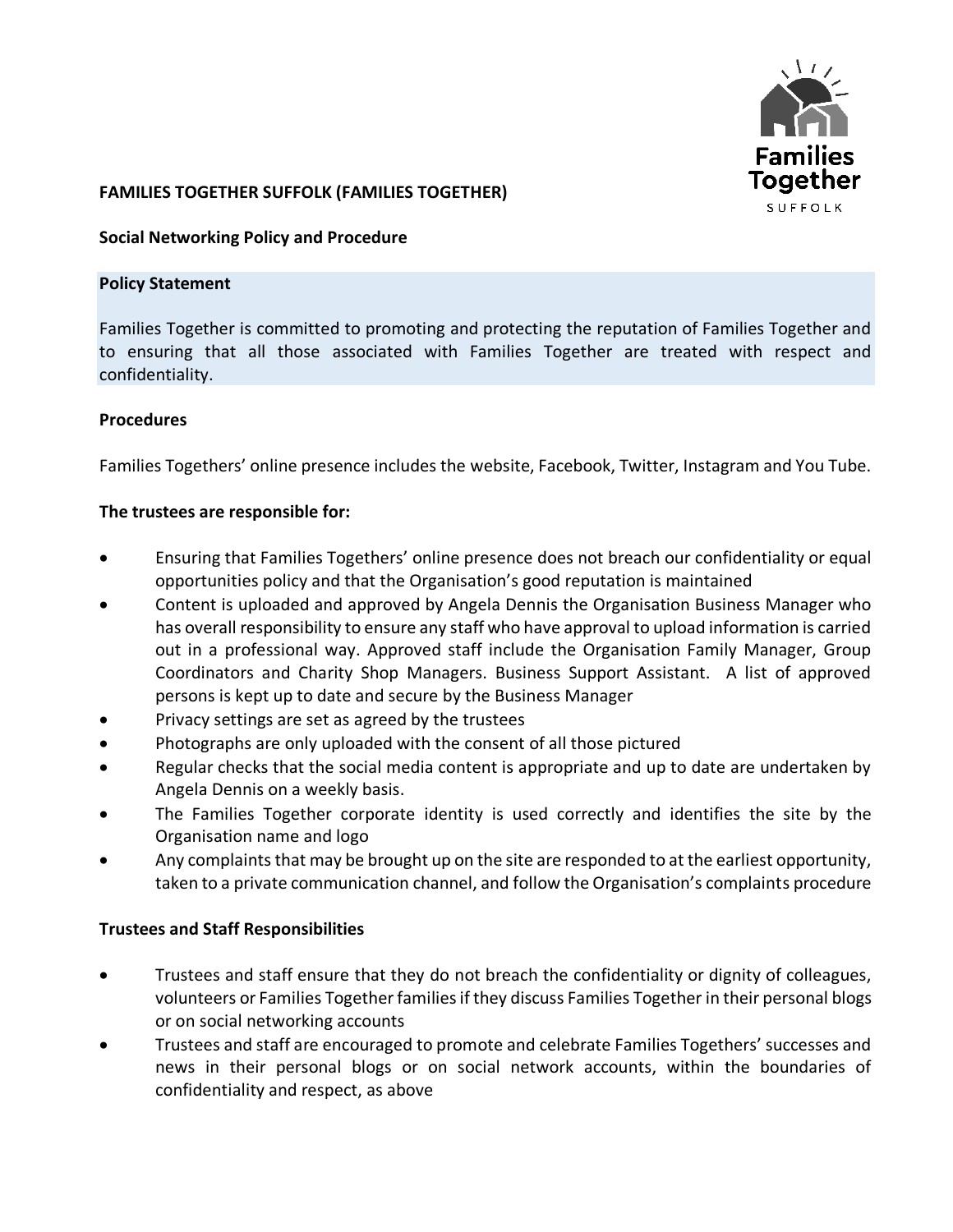

## **FAMILIES TOGETHER SUFFOLK (FAMILIES TOGETHER)**

#### **Social Networking Policy and Procedure**

#### **Policy Statement**

Families Together is committed to promoting and protecting the reputation of Families Together and to ensuring that all those associated with Families Together are treated with respect and confidentiality.

## **Procedures**

Families Togethers' online presence includes the website, Facebook, Twitter, Instagram and You Tube.

#### **The trustees are responsible for:**

- Ensuring that Families Togethers' online presence does not breach our confidentiality or equal opportunities policy and that the Organisation's good reputation is maintained
- Content is uploaded and approved by Angela Dennis the Organisation Business Manager who has overall responsibility to ensure any staff who have approval to upload information is carried out in a professional way. Approved staff include the Organisation Family Manager, Group Coordinators and Charity Shop Managers. Business Support Assistant. A list of approved persons is kept up to date and secure by the Business Manager
- Privacy settings are set as agreed by the trustees
- Photographs are only uploaded with the consent of all those pictured
- Regular checks that the social media content is appropriate and up to date are undertaken by Angela Dennis on a weekly basis.
- The Families Together corporate identity is used correctly and identifies the site by the Organisation name and logo
- Any complaints that may be brought up on the site are responded to at the earliest opportunity, taken to a private communication channel, and follow the Organisation's complaints procedure

## **Trustees and Staff Responsibilities**

- Trustees and staff ensure that they do not breach the confidentiality or dignity of colleagues, volunteers or Families Together families if they discuss Families Together in their personal blogs or on social networking accounts
- Trustees and staff are encouraged to promote and celebrate Families Togethers' successes and news in their personal blogs or on social network accounts, within the boundaries of confidentiality and respect, as above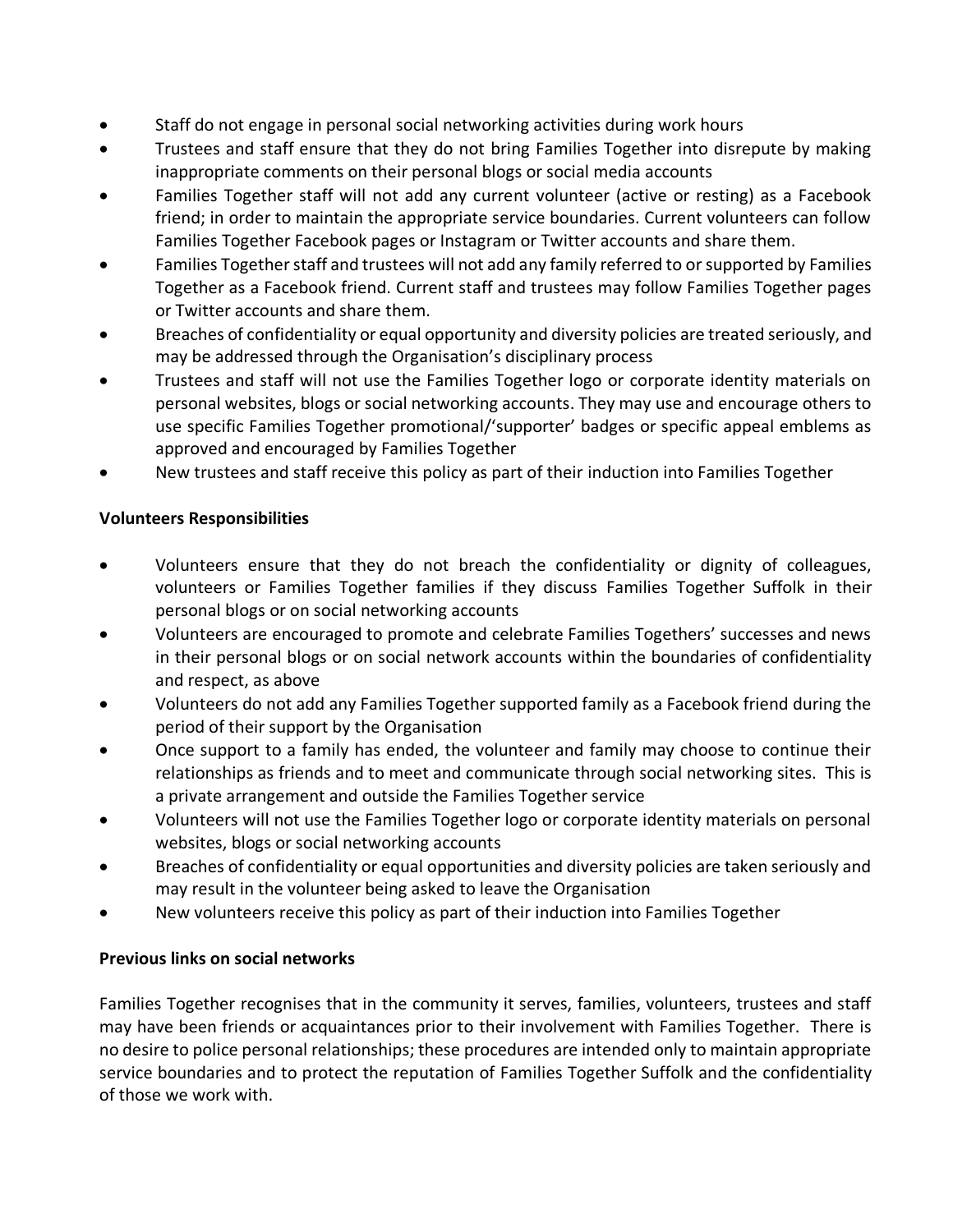- Staff do not engage in personal social networking activities during work hours
- Trustees and staff ensure that they do not bring Families Together into disrepute by making inappropriate comments on their personal blogs or social media accounts
- Families Together staff will not add any current volunteer (active or resting) as a Facebook friend; in order to maintain the appropriate service boundaries. Current volunteers can follow Families Together Facebook pages or Instagram or Twitter accounts and share them.
- Families Together staff and trustees will not add any family referred to or supported by Families Together as a Facebook friend. Current staff and trustees may follow Families Together pages or Twitter accounts and share them.
- Breaches of confidentiality or equal opportunity and diversity policies are treated seriously, and may be addressed through the Organisation's disciplinary process
- Trustees and staff will not use the Families Together logo or corporate identity materials on personal websites, blogs or social networking accounts. They may use and encourage others to use specific Families Together promotional/'supporter' badges or specific appeal emblems as approved and encouraged by Families Together
- New trustees and staff receive this policy as part of their induction into Families Together

# **Volunteers Responsibilities**

- Volunteers ensure that they do not breach the confidentiality or dignity of colleagues, volunteers or Families Together families if they discuss Families Together Suffolk in their personal blogs or on social networking accounts
- Volunteers are encouraged to promote and celebrate Families Togethers' successes and news in their personal blogs or on social network accounts within the boundaries of confidentiality and respect, as above
- Volunteers do not add any Families Together supported family as a Facebook friend during the period of their support by the Organisation
- Once support to a family has ended, the volunteer and family may choose to continue their relationships as friends and to meet and communicate through social networking sites. This is a private arrangement and outside the Families Together service
- Volunteers will not use the Families Together logo or corporate identity materials on personal websites, blogs or social networking accounts
- Breaches of confidentiality or equal opportunities and diversity policies are taken seriously and may result in the volunteer being asked to leave the Organisation
- New volunteers receive this policy as part of their induction into Families Together

# **Previous links on social networks**

Families Together recognises that in the community it serves, families, volunteers, trustees and staff may have been friends or acquaintances prior to their involvement with Families Together. There is no desire to police personal relationships; these procedures are intended only to maintain appropriate service boundaries and to protect the reputation of Families Together Suffolk and the confidentiality of those we work with.